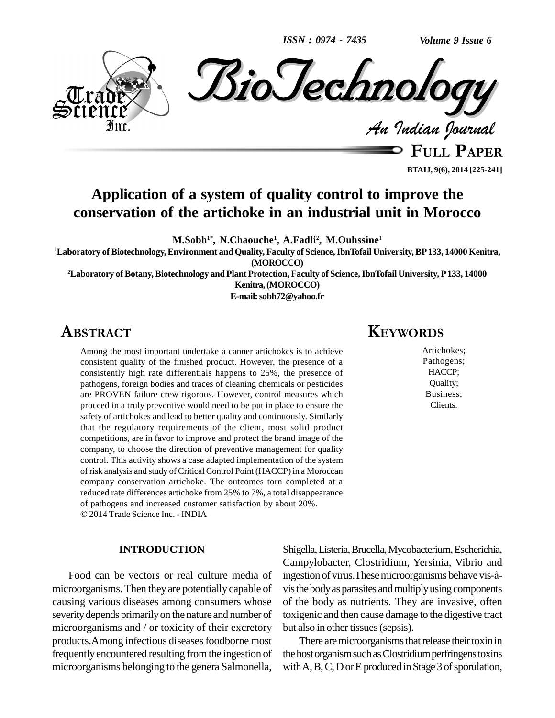*ISSN : 0974 - 7435*

*Volume 9 Issue 6*



**BTAIJ, 9(6), 2014 [225-241]**

### **Application of a system of quality control to improve the conservation of the artichoke in an industrial unit in Morocco**

**M.Sobh 1\* , N.Chaouche 1 , A.Fadli<sup>2</sup> , M.Ouhssine** 1

<sup>1</sup>**Laboratory of Biotechnology,Environment and Quality, Faculty of Science,IbnTofail University, BP133, 14000 Kenitra, (MOROCCO)**

**<sup>2</sup>Laboratory of Botany,Biotechnology and Plant Protection, Faculty of Science,IbnTofail University, P133, 14000 Kenitra,(MOROCCO)**

**E-mail:[sobh72@yahoo.fr](mailto:sobh72@yahoo.fr)**

### **ABSTRACT**

Among the most important undertake a canner artichokes is to achieve consistent quality of the finished product. However, the presence of a consistently high rate differentials happens to 25%, the presence of pathogens, foreign bodies and traces of cleaning chemicals or pesticides are PROVEN failure crew rigorous. However, control measures which proceed in a truly preventive would need to be put in place to ensure the safety of artichokes and lead to better quality and continuously. Similarly that the regulatory requirements of the client, most solid product competitions, are in favor to improve and protect the brand image of the company, to choose the direction of preventive management for quality control. This activity shows a case adapted implementation of the system of risk analysis and study of Critical Control Point (HACCP) in a Moroccan company conservation artichoke. The outcomes torn completed at a reduced rate differences artichoke from 25% to 7%, a total disappearance of pathogens and increased customer satisfaction by about 20%. 2014 Trade Science Inc. - INDIA

### **INTRODUCTION**

Food can be vectors or real culture media of microorganisms. Then theyare potentially capable of causing various diseases among consumers whose severity depends primarily on the nature and number of microorganisms and / or toxicity of their excretory products. Among infectious diseases foodborne most frequentlyencountered resulting fromthe ingestion of microorganisms belonging to the genera Salmonella,

### **KEYWORDS**

Artichokes; Pathogens; HACCP; Quality; Business; Clients.

Shigella,Listeria,Brucella,Mycobacterium,Escherichia, Campylobacter, Clostridium, Yersinia, Vibrio and ingestion of virus. These microorganisms behave vis-àvis the body as parasites and multiply using components of the body as nutrients. They are invasive, often toxigenic and then cause damage to the digestive tract but also in other tissues (sepsis).

There are microorganisms that release their toxin in the host organism such as Clostridium perfringens toxins with  $A, B, C, D$  or  $E$  produced in Stage 3 of sporulation,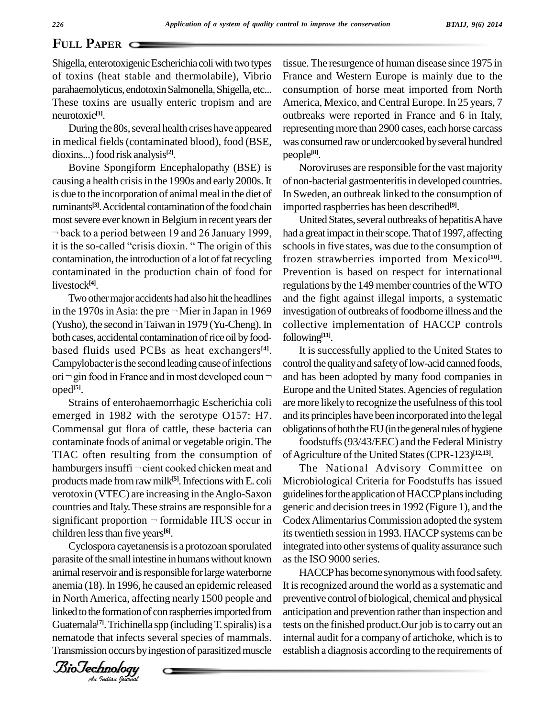### **PAPER**  $\subset$

Shigella, enterotoxigenic Escherichia coli with two types of toxins (heat stable and thermolabile), Vibrio parahaemolyticus, endotoxin Salmonella, Shigella, etc... These toxins are usually enteric tropism and are neurotoxic **[1]**.

During the 80s, several health crises have appeared in medical fields (contaminated blood), food (BSE, dioxins...)food risk analysis **[2]**.

Bovine Spongiform Encephalopathy (BSE) is causing a health crisis in the 1990s and early 2000s. It is due to the incorporation of animal meal in the diet of ruminants<sup>[3]</sup>. Accidental contamination of the food chain import<br>most severe ever known in Belgium in recent years der Un<br>most to a period between 19 and 26 January 1999, had a gr most severe ever known in Belgium in recent years der  $\neg$  back to a period between 19 and 26 January 1999, it is the so-called "crisis dioxin. " The origin of this contamination, the introduction of a lot of fat recycling contaminated in the production chain of food for livestock **[4]**.

Two other major accidents had also hit the headlines and livestock<sup>[4]</sup>. Two other major accidents had also hit the headlines and the in the 1970s in Asia: the pre  $\neg$  Mier in Japan in 1969 investigently (Yusho), the second in Taiwan in 1979 (Yu-Cheng). In both cases, accidental contamination of rice oil by foodbased fluids used PCBs as heat exchangers<sup>[4]</sup>. It is<br>Campylobacter is the second leading cause of infections control t<br>ori <sup>→</sup> gin food in France and in most developed coun <sup>→</sup> and has Campylobacter is the second leading cause of infections oped **[5]**.

Strains of enterohaemorrhagic Escherichia coli emerged in 1982 with the serotype O157: H7. Commensal gut flora of cattle, these bacteria can contaminate foods of animal or vegetable origin. The TIAC often resulting from the consumption of of A contaminate foods of animal or vegetable origin. The foother TIAC often resulting from the consumption of of Agri<br>hamburgers insuffi – cient cooked chicken meat and Th products made from raw milk<sup>[5]</sup>. Infections with E. coli Mi verotoxin (VTEC) are increasing in theAnglo-Saxon countries and Italy.These strains are responsible for a verotoxin (VTEC) are increasing in the Anglo-Saxon guidelincountries and Italy. These strains are responsible for a generic significant proportion  $\neg$  formidable HUS occur in Codex children lessthan five years **[6]**.

BioTechnologyBioTechnologyanimalreservoir and isresponsible forlargewaterborne in North America, affecting nearly 1500 people and prevent Cyclospora cayetanensis is a protozoan sporulated parasite of the small intestine in humans without known anemia (18).In 1996, he caused an epidemic released linked to the formation of con raspberries imported from Guatemala<sup>[7]</sup>. Trichinella spp (including T. spiralis) is a tests c nematode that infects several species of mammals. Transmission occurs by ingestion of parasitized muscle

*Indian Journal*

tissue.The resurgence of human disease since 1975 in France and Western Europe is mainly due to the consumption of horse meat imported from North America, Mexico, and Central Europe. In 25 years, 7 outbreaks were reported in France and 6 in Italy, representing more than 2900 cases, each horse carcass was consumed rawor undercooked byseveral hundred people **[8]**.

Noroviruses are responsible for the vast majority of non-bacterial gastroenteritis in developed countries. In Sweden, an outbreak linked to the consumption of imported raspberries has been described **[9]**.

United States, several outbreaks of hepatitis A have had a great impact in their scope. That of 1997, affecting schools in five states, was due to the consumption of frozen strawberries imported from Mexico **[10]**. Prevention is based on respect for international regulations by the 149 member countries of the WTO and the fight against illegal imports, a systematic investigation of outbreaks of foodborne illness and the collective implementation of HACCP controls following **[11]**.

It is successfully applied to the United States to control the quality and safety of low-acid canned foods, and has been adopted by many food companies in Europe and the United States.Agencies of regulation are more likely to recognize the usefulness of this tool and its principles have been incorporated into the legal obligations of both the EU (in the general rules of hygiene

foodstuffs(93/43/EEC) and the Federal Ministry ofAgriculture ofthe United States(CPR-123) **[12,13]**.

The National Advisory Committee on Microbiological Criteria for Foodstuffs has issued guidelines for the application of HACCP plans including generic and decision treesin 1992 (Figure 1), and the CodexAlimentariusCommission adopted the system its twentieth session in 1993. HACCP systems can be integrated into other systems of quality assurance such asthe ISO 9000 series.

HACCP has become synonymous with food safety. It is recognized around the world as a systematic and preventive control of biological, chemical and physical anticipation and prevention rather than inspection and tests on the finished product. Our job is to carry out an internal audit for a company of artichoke, which is to establish a diagnosis according to the requirements of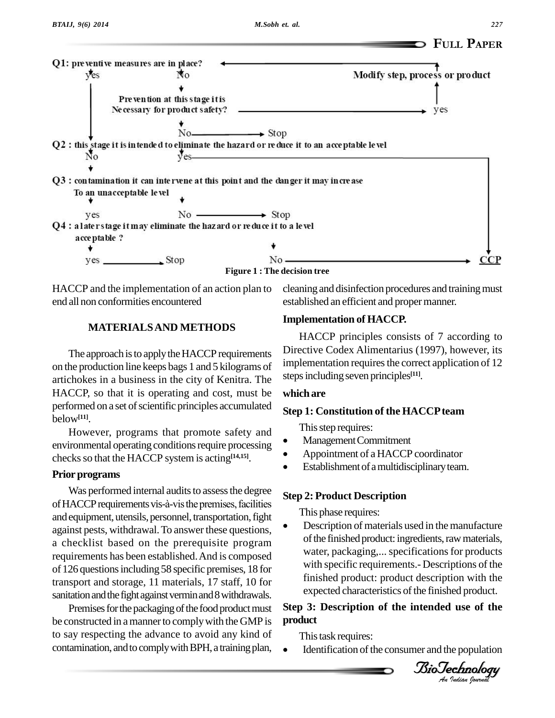

HACCP and the implementation of an action plan to cleaning and disinfection procedures and training must end all non conformities encountered

established an efficient and propermanner.

### **MATERIALSAND METHODS**

The approach is to apply the HACCP requirements on the production line keeps bags 1 and 5 kilograms of artichokes in a business in the city of Kenitra. The HACCP, so that it is operating and cost, must be performed on a set of scientific principles accumulated below**[11]**.

However, programs that promote safety and This step requires: environmental operating conditions require processing checks so that the HACCP system is acting<sup>[14,15]</sup>.

### **Prior** programs

Was performed internal audits to assess the degree of HACCP requirements vis-à-vis the premises, facilities<br>and equipment utensils personnel transportation fight This phase requires: and equipment, utensils, personnel, transportation, fight against pests, withdrawal. To answer these questions, a checklist based on the prerequisite program requirements has been established.And iscomposed of 126 questionsincluding 58 specific premises, 18 for transport and storage, 11 materials, 17 staff, 10 for sanitation and the fight against vermin and 8 withdrawals.

Premises for the packaging of the food product must be constructed in a manner to comply with the GMP is to say respecting the advance to avoid any kind of contamination, and to comply with BPH, a training plan,

### **Implementation of HACCP.**

HACCP principles consists of 7 according to Directive Codex Alimentarius (1997), however, its implementation requires the correct application of 12 steps including seven principles<sup>[11]</sup>.

### **which are**

### **Step 1: Constitution of the HACCP team**<br>
This step requires:

- Management Commitment
- Appointment of <sup>a</sup> HACCP coordinator
- Establishment of a multidisciplinary team.  $\bullet$

### **Step 2: Product Description** This phase requires:

with specific requirements.- Descriptions of the<br>finished product, product description with the Description of materials used in the manufacture of the finished product: ingredients, raw materials, water, packaging,... specifications for products finished product: product description with the expected characteristics of the finished product.

### *An***Step 3: Description of the intended use of the product**

This task requires:

Identification of the consumer and the population

*Indian Journal*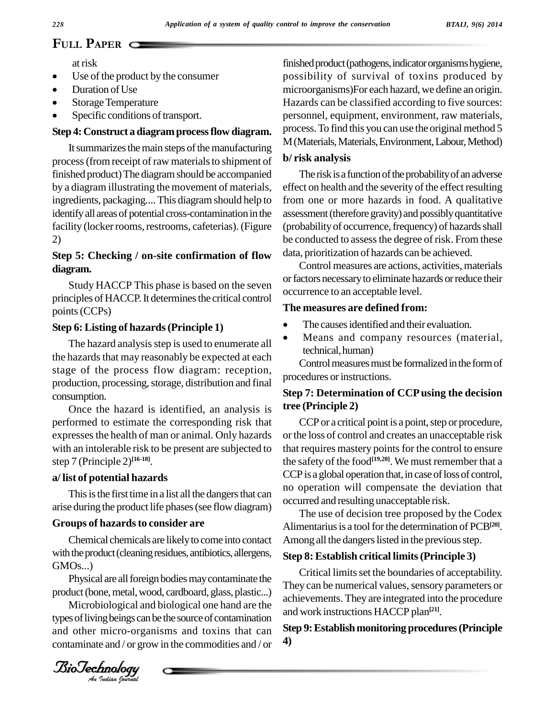# <sup>228</sup><sup>Ap</sup>

atrisk

- at risk<br>• Use of the product by the consumer • Use of the product by the Duration of Use
- 
- Duration of Use<br>• Storage Temperature
- Specific conditions of transport.

### **Step 4:Construct a diagramprocessflow diagram.**

It summarizes the main steps of the manufacturing process (from receipt of raw materials to shipment of finished product) The diagram should be accompanied by a diagram illustrating the movement of materials, ingredients, packaging.... This diagramshould help to identify all areas of potential cross-contamination in the facility (locker rooms, restrooms, cafeterias). (Figure 2)

### **Step 5: Checking / on-site confirmation of flow diagram.**

Study HACCP This phase is based on the seven principles of HACCP. It determines the critical control points(CCPs)

### **Step 6: Listing of hazards(Principle 1)**

The hazard analysis step is used to enumerate all the hazards that may reasonably be expected at each stage of the process flow diagram: reception, production, processing, storage, distribution and final consumption.

Once the hazard is identified, an analysis is performed to estimate the corresponding risk that expressesthe health of man or animal. Only hazards with an intolerable risk to be present are subjected to step 7 (Principle 2) **[16-18]**.

### **a/ list of potential hazards**

This is the first time in a list all the dangers that can arise during the product life phases(see flow diagram)

### **Groups** of hazards to consider are

 $GMOs...$ ) Chemical chemicals are likelyto come into contact with the product (cleaning residues, antibiotics, allergens,

Physical are all foreign bodies may contaminate the product (bone, metal, wood, cardboard, glass, plastic...)

Microbiological and biological one hand are the types of living beings can be the source of contamination and other micro-organisms and toxins that can contaminate and / or grow in the commodities and / or

finished product (pathogens, indicator organisms hygiene, possibility of survival of toxins produced by microorganisms)For each hazard, we define an origin. Hazards can be classified according to five sources: personnel, equipment, environment, raw materials, process. To find this you can use the original method 5 M (Materials, Materials, Environment, Labour, Method)

### **b/ risk analysis**

The risk is a function of the probability of an adverse effect on health and the severity of the effect resulting from one or more hazards in food. A qualitative assessment(therefore gravity) and possiblyquantitative (probability of occurrence, frequency) of hazards shall be conducted to assess the degree of risk. From these data, prioritization of hazards can be achieved.

Control measures are actions, activities, materials or factors necessary to eliminate hazards or reduce their occurrence to an acceptable level.

#### **The measures are defined from:**

- The causes identified and their evaluation.
- Means and company resources (material, technical, human)

Control measures must be formalized in the form of procedures or instructions.

### **Step 7: Determination of CCPusing the decision tree (Principle 2)**

CCP or a critical point is a point, step or procedure, or the loss of control and creates an unacceptable risk that requires mastery points for the control to ensure the safety of the food **[19,20]**. We must remember that a CCP is a global operation that, in case of loss of control, no operation will compensate the deviation that occurred and resulting unacceptable risk.

The use of decision tree proposed by the Codex Alimentarius is a tool for the determination of PCB<sup>[20]</sup>. Among all the dangers listed in the previous step.

### **Step 8: Establish critical limits(Principle 3)**

Critical limits set the boundaries of acceptability. They can be numerical values, sensory parameters or achievements. They are integrated into the procedure and work instructions HACCP plan **[21]**.

### **Step 9:Establish monitoring procedures(Principle 4)**

*Indian Journal*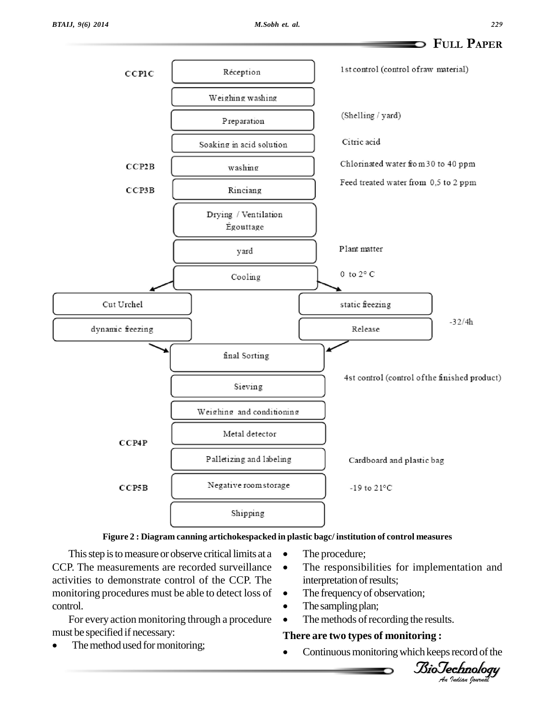

### **Figure 2 : Diagram canning artichokespacked in plastic bagc/ institution of control measures** The procedure;

This step is to measure or observe critical limits at  $a \bullet$  The procedure; CCP. The measurements are recorded surveillance activities to demonstrate control of the CCP. The monitoring procedures must be able to detect loss of control.

For every action monitoring through a procedure  $\bullet$  T<br>must be specified if necessary: There

The method used for monitoring;

- 
- The responsibilities for implementation and interpretation of results; interpretation of results;<br>The frequency of observation;
- The frequency of observ<br>• The sampling plan;
- 
- The methods of recording the results.

### • The methods of recording the resure<br>**There** are **two types** of **monitoring** :

 $\bullet$ Continuous monitoring which keeps record of the

*Indian Journal*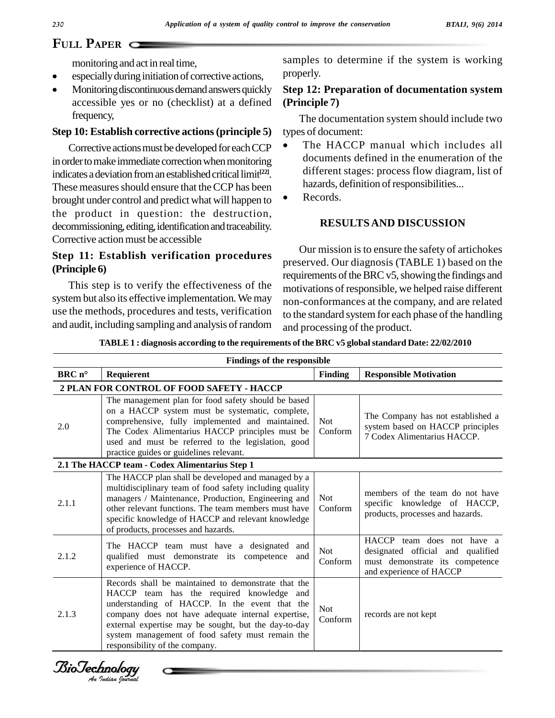### **PAPER** C

monitoring and act in real time,

- especiallyduringinitiation of corrective actions,
- Monitoring discontinuous demand answers quickly accessible yes or no (checklist) at a defined frequency,

### **Step 10: Establish corrective actions(principle 5)**

Corrective actions must be developed for each CCP in order to make immediate correction when monitoring indicates a deviation from an established critical limit<sup>[22]</sup>. These measures should ensure that the CCP has been brought under control and predict what will happen to the product in question: the destruction, decommissioning, editing, identification and traceability. Corrective action must be accessible

### **Step 11: Establish verification procedures (Principle 6)**

This step is to verify the effectiveness of the system but also its effective implementation.We may use the methods, procedures and tests, verification and audit, including sampling and analysis ofrandom samples to determine if the system is working properly.

### **Step 12:Preparation of documentation system (Principle 7)**

The documentation system should include two types of document:

- The HACCP manual which includes all documents defined in the enumeration of the different stages: process flow diagram, list of hazards, definition of responsibilities...
- Records.

### **RESULTS AND DISCUSSION**

Our mission isto ensure the safety of artichokes preserved. Our diagnosis (TABLE 1) based on the requirements of the BRC v5, showing the findings and motivations of responsible, we helped raise different non-conformances at the company, and are related to the standard system for each phase of the handling and processing of the product.

**TABLE 1 : diagnosis according to the requirements of the BRC v5 globalstandard Date: 22/02/2010**

|                | <b>Findings of the responsible</b>                                                                                                                                                                                                                                                                                                                    |                       |                                                                                                                               |
|----------------|-------------------------------------------------------------------------------------------------------------------------------------------------------------------------------------------------------------------------------------------------------------------------------------------------------------------------------------------------------|-----------------------|-------------------------------------------------------------------------------------------------------------------------------|
| $BRCn^{\circ}$ | Requierent                                                                                                                                                                                                                                                                                                                                            | Finding               | <b>Responsible Motivation</b>                                                                                                 |
|                | 2 PLAN FOR CONTROL OF FOOD SAFETY - HACCP                                                                                                                                                                                                                                                                                                             |                       |                                                                                                                               |
| 2.0            | The management plan for food safety should be based<br>on a HACCP system must be systematic, complete,<br>comprehensive, fully implemented and maintained.<br>The Codex Alimentarius HACCP principles must be<br>used and must be referred to the legislation, good<br>practice guides or guidelines relevant.                                        | Not.<br>Conform       | The Company has not established a<br>system based on HACCP principles<br>7 Codex Alimentarius HACCP.                          |
|                | 2.1 The HACCP team - Codex Alimentarius Step 1                                                                                                                                                                                                                                                                                                        |                       |                                                                                                                               |
| 2.1.1          | The HACCP plan shall be developed and managed by a<br>multidisciplinary team of food safety including quality<br>managers / Maintenance, Production, Engineering and<br>other relevant functions. The team members must have<br>specific knowledge of HACCP and relevant knowledge<br>of products, processes and hazards.                             | <b>Not</b><br>Conform | members of the team do not have<br>specific knowledge of HACCP,<br>products, processes and hazards.                           |
| 2.1.2          | The HACCP team must have a designated<br>and<br>qualified must demonstrate its competence<br>and<br>experience of HACCP.                                                                                                                                                                                                                              |                       | HACCP team does not have a<br>designated official and qualified<br>must demonstrate its competence<br>and experience of HACCP |
| 2.1.3          | Records shall be maintained to demonstrate that the<br>HACCP team has the required knowledge and<br>understanding of HACCP. In the event that the<br>company does not have adequate internal expertise,<br>external expertise may be sought, but the day-to-day<br>system management of food safety must remain the<br>responsibility of the company. | Not.<br>Conform       | records are not kept                                                                                                          |

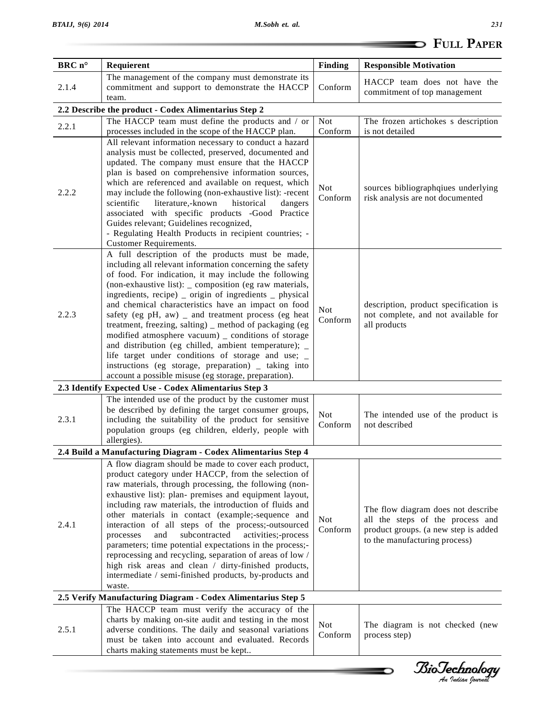|        |                                                                                                                                                                                                                                                                                                                                                                                                                                                                                                                                                                                                                                                                                                                                                            |                       | <b>SEPTIER</b> FULL PAPER                                                                                                                       |  |
|--------|------------------------------------------------------------------------------------------------------------------------------------------------------------------------------------------------------------------------------------------------------------------------------------------------------------------------------------------------------------------------------------------------------------------------------------------------------------------------------------------------------------------------------------------------------------------------------------------------------------------------------------------------------------------------------------------------------------------------------------------------------------|-----------------------|-------------------------------------------------------------------------------------------------------------------------------------------------|--|
| BRC n° | Requierent                                                                                                                                                                                                                                                                                                                                                                                                                                                                                                                                                                                                                                                                                                                                                 | <b>Finding</b>        | <b>Responsible Motivation</b>                                                                                                                   |  |
| 2.1.4  | The management of the company must demonstrate its<br>commitment and support to demonstrate the HACCP<br>team.                                                                                                                                                                                                                                                                                                                                                                                                                                                                                                                                                                                                                                             | Conform               | HACCP team does not have the<br>commitment of top management                                                                                    |  |
|        | 2.2 Describe the product - Codex Alimentarius Step 2                                                                                                                                                                                                                                                                                                                                                                                                                                                                                                                                                                                                                                                                                                       |                       |                                                                                                                                                 |  |
| 2.2.1  | The HACCP team must define the products and / or<br>processes included in the scope of the HACCP plan.                                                                                                                                                                                                                                                                                                                                                                                                                                                                                                                                                                                                                                                     | <b>Not</b><br>Conform | The frozen artichokes s description<br>is not detailed                                                                                          |  |
| 2.2.2  | All relevant information necessary to conduct a hazard<br>analysis must be collected, preserved, documented and<br>updated. The company must ensure that the HACCP<br>plan is based on comprehensive information sources,<br>which are referenced and available on request, which<br>may include the following (non-exhaustive list): -recent<br>scientific<br>literature,-known<br>historical<br>dangers<br>associated with specific products -Good Practice<br>Guides relevant; Guidelines recognized,<br>- Regulating Health Products in recipient countries; -<br>Customer Requirements.                                                                                                                                                               | <b>Not</b><br>Conform | sources bibliographqiues underlying<br>risk analysis are not documented                                                                         |  |
| 2.2.3  | A full description of the products must be made,<br>including all relevant information concerning the safety<br>of food. For indication, it may include the following<br>(non-exhaustive list): _ composition (eg raw materials,<br>ingredients, recipe) _ origin of ingredients _ physical<br>and chemical characteristics have an impact on food<br>safety (eg pH, aw) _ and treatment process (eg heat<br>treatment, freezing, salting) _ method of packaging (eg<br>modified atmosphere vacuum) _ conditions of storage<br>and distribution (eg chilled, ambient temperature); _<br>life target under conditions of storage and use; _<br>instructions (eg storage, preparation) _ taking into<br>account a possible misuse (eg storage, preparation). | <b>Not</b><br>Conform | description, product specification is<br>not complete, and not available for<br>all products                                                    |  |
|        | 2.3 Identify Expected Use - Codex Alimentarius Step 3                                                                                                                                                                                                                                                                                                                                                                                                                                                                                                                                                                                                                                                                                                      |                       |                                                                                                                                                 |  |
| 2.3.1  | The intended use of the product by the customer must<br>be described by defining the target consumer groups,<br>including the suitability of the product for sensitive<br>population groups (eg children, elderly, people with<br>allergies).                                                                                                                                                                                                                                                                                                                                                                                                                                                                                                              | <b>Not</b><br>Conform | The intended use of the product is<br>not described                                                                                             |  |
|        | 2.4 Build a Manufacturing Diagram - Codex Alimentarius Step 4                                                                                                                                                                                                                                                                                                                                                                                                                                                                                                                                                                                                                                                                                              |                       |                                                                                                                                                 |  |
| 2.4.1  | A flow diagram should be made to cover each product,<br>product category under HACCP, from the selection of<br>raw materials, through processing, the following (non-<br>exhaustive list): plan- premises and equipment layout,<br>including raw materials, the introduction of fluids and<br>other materials in contact (example;-sequence and<br>interaction of all steps of the process;-outsourced<br>processes<br>and<br>subcontracted<br>activities;-process<br>parameters; time potential expectations in the process;-<br>reprocessing and recycling, separation of areas of low /<br>high risk areas and clean / dirty-finished products,<br>intermediate / semi-finished products, by-products and<br>waste.                                     | <b>Not</b><br>Conform | The flow diagram does not describe<br>all the steps of the process and<br>product groups. (a new step is added<br>to the manufacturing process) |  |
|        | 2.5 Verify Manufacturing Diagram - Codex Alimentarius Step 5                                                                                                                                                                                                                                                                                                                                                                                                                                                                                                                                                                                                                                                                                               |                       |                                                                                                                                                 |  |
| 2.5.1  | The HACCP team must verify the accuracy of the<br>charts by making on-site audit and testing in the most<br>adverse conditions. The daily and seasonal variations<br>must be taken into account and evaluated. Records<br>charts making statements must be kept                                                                                                                                                                                                                                                                                                                                                                                                                                                                                            | <b>Not</b><br>Conform | The diagram is not checked (new<br>process step)                                                                                                |  |
|        |                                                                                                                                                                                                                                                                                                                                                                                                                                                                                                                                                                                                                                                                                                                                                            |                       |                                                                                                                                                 |  |

*Indian Journal*

D

\_\_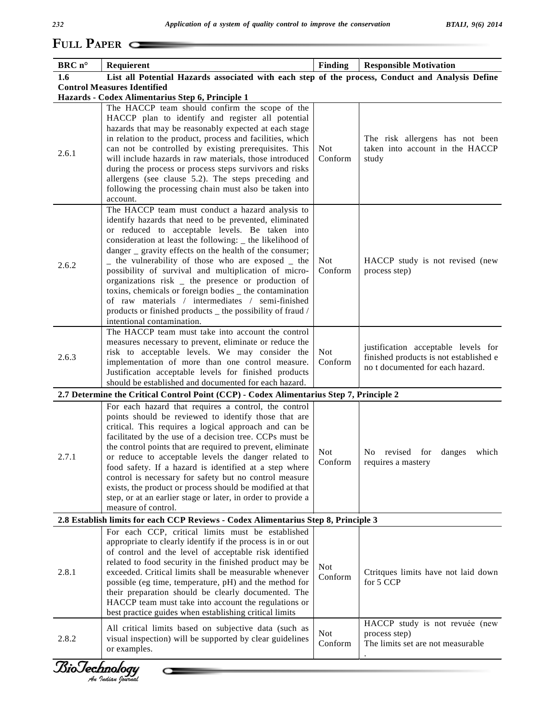### *BTAIJ, 9(6) 2014*

# **<sup>P</sup>APER**

| BRC n° | Requierent                                                                                       | <b>Finding</b>        | <b>Responsible Motivation</b>          |
|--------|--------------------------------------------------------------------------------------------------|-----------------------|----------------------------------------|
| 1.6    | List all Potential Hazards associated with each step of the process, Conduct and Analysis Define |                       |                                        |
|        | <b>Control Measures Identified</b>                                                               |                       |                                        |
|        | Hazards - Codex Alimentarius Step 6, Principle 1                                                 |                       |                                        |
|        | The HACCP team should confirm the scope of the                                                   |                       |                                        |
|        | HACCP plan to identify and register all potential                                                |                       |                                        |
|        | hazards that may be reasonably expected at each stage                                            |                       |                                        |
|        | in relation to the product, process and facilities, which                                        |                       | The risk allergens has not been        |
| 2.6.1  | can not be controlled by existing prerequisites. This                                            | <b>Not</b>            | taken into account in the HACCP        |
|        | will include hazards in raw materials, those introduced                                          | Conform               | study                                  |
|        | during the process or process steps survivors and risks                                          |                       |                                        |
|        | allergens (see clause 5.2). The steps preceding and                                              |                       |                                        |
|        | following the processing chain must also be taken into<br>account.                               |                       |                                        |
|        | The HACCP team must conduct a hazard analysis to                                                 |                       |                                        |
|        | identify hazards that need to be prevented, eliminated                                           |                       |                                        |
|        | or reduced to acceptable levels. Be taken into                                                   |                       |                                        |
|        | consideration at least the following: _ the likelihood of                                        |                       |                                        |
|        | danger $\angle$ gravity effects on the health of the consumer;                                   |                       |                                        |
|        | - the vulnerability of those who are exposed - the                                               | <b>Not</b>            | HACCP study is not revised (new        |
| 2.6.2  | possibility of survival and multiplication of micro-                                             | Conform               | process step)                          |
|        | organizations risk _ the presence or production of                                               |                       |                                        |
|        | toxins, chemicals or foreign bodies _ the contamination                                          |                       |                                        |
|        | of raw materials / intermediates / semi-finished                                                 |                       |                                        |
|        | products or finished products _ the possibility of fraud /                                       |                       |                                        |
|        | intentional contamination.                                                                       |                       |                                        |
| 2.6.3  | The HACCP team must take into account the control                                                |                       |                                        |
|        | measures necessary to prevent, eliminate or reduce the                                           |                       | justification acceptable levels for    |
|        | risk to acceptable levels. We may consider the                                                   | <b>Not</b>            | finished products is not established e |
|        | implementation of more than one control measure.                                                 | Conform               | no t documented for each hazard.       |
|        | Justification acceptable levels for finished products                                            |                       |                                        |
|        | should be established and documented for each hazard.                                            |                       |                                        |
|        | 2.7 Determine the Critical Control Point (CCP) - Codex Alimentarius Step 7, Principle 2          |                       |                                        |
|        | For each hazard that requires a control, the control                                             |                       |                                        |
|        | points should be reviewed to identify those that are                                             |                       |                                        |
|        | critical. This requires a logical approach and can be                                            |                       |                                        |
|        | facilitated by the use of a decision tree. CCPs must be                                          |                       |                                        |
|        | the control points that are required to prevent, eliminate                                       | <b>Not</b>            | No revised for danges which            |
| 2.7.1  | or reduce to acceptable levels the danger related to                                             | Conform               | requires a mastery                     |
|        | food safety. If a hazard is identified at a step where                                           |                       |                                        |
|        | control is necessary for safety but no control measure                                           |                       |                                        |
|        | exists, the product or process should be modified at that                                        |                       |                                        |
|        | step, or at an earlier stage or later, in order to provide a                                     |                       |                                        |
|        | measure of control.                                                                              |                       |                                        |
|        |                                                                                                  |                       |                                        |
|        | 2.8 Establish limits for each CCP Reviews - Codex Alimentarius Step 8, Principle 3               |                       |                                        |
|        | For each CCP, critical limits must be established                                                |                       |                                        |
|        | appropriate to clearly identify if the process is in or out                                      |                       |                                        |
|        | of control and the level of acceptable risk identified                                           |                       |                                        |
|        | related to food security in the finished product may be                                          |                       |                                        |
|        | exceeded. Critical limits shall be measurable whenever                                           | <b>Not</b><br>Conform |                                        |
|        | possible (eg time, temperature, pH) and the method for                                           |                       | for 5 CCP                              |
|        | their preparation should be clearly documented. The                                              |                       |                                        |
|        | HACCP team must take into account the regulations or                                             |                       |                                        |
| 2.8.1  | best practice guides when establishing critical limits                                           |                       | Ctritques limits have not laid down    |
|        | All critical limits based on subjective data (such as                                            |                       | HACCP study is not revuée (new         |
|        | visual inspection) will be supported by clear guidelines                                         | <b>Not</b>            | process step)                          |
| 2.8.2  | or examples.                                                                                     | Conform               | The limits set are not measurable      |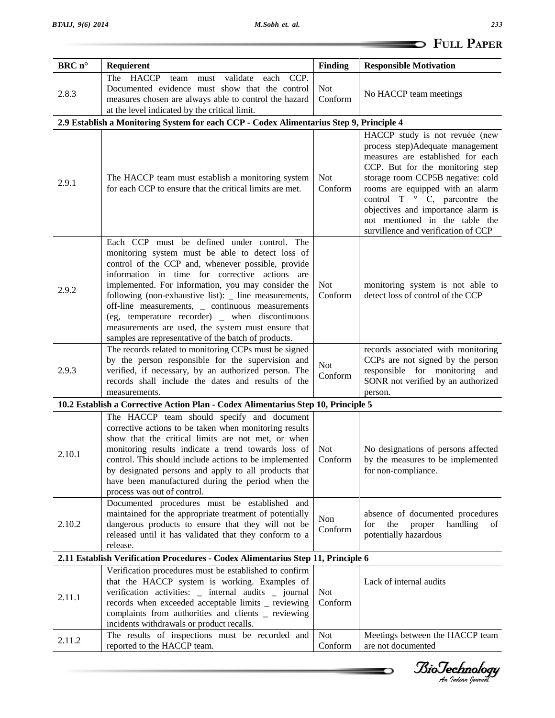|        |                                                                                                                                                                                                                                                                                                                                                                                                                                                                                                                                             |                       | <b>DED</b> FULL PAPER                                                                                                                                                                                                                                                                                                                                                      |  |
|--------|---------------------------------------------------------------------------------------------------------------------------------------------------------------------------------------------------------------------------------------------------------------------------------------------------------------------------------------------------------------------------------------------------------------------------------------------------------------------------------------------------------------------------------------------|-----------------------|----------------------------------------------------------------------------------------------------------------------------------------------------------------------------------------------------------------------------------------------------------------------------------------------------------------------------------------------------------------------------|--|
| BRC n° | Requierent                                                                                                                                                                                                                                                                                                                                                                                                                                                                                                                                  | <b>Finding</b>        | <b>Responsible Motivation</b>                                                                                                                                                                                                                                                                                                                                              |  |
| 2.8.3  | validate each CCP.<br>The HACCP team must<br>Documented evidence must show that the control<br>measures chosen are always able to control the hazard<br>at the level indicated by the critical limit.                                                                                                                                                                                                                                                                                                                                       | <b>Not</b><br>Conform | No HACCP team meetings                                                                                                                                                                                                                                                                                                                                                     |  |
|        | 2.9 Establish a Monitoring System for each CCP - Codex Alimentarius Step 9, Principle 4                                                                                                                                                                                                                                                                                                                                                                                                                                                     |                       |                                                                                                                                                                                                                                                                                                                                                                            |  |
| 2.9.1  | The HACCP team must establish a monitoring system<br>for each CCP to ensure that the critical limits are met.                                                                                                                                                                                                                                                                                                                                                                                                                               | <b>Not</b><br>Conform | HACCP study is not revuée (new<br>process step)Adequate management<br>measures are established for each<br>CCP. But for the monitoring step<br>storage room CCP5B negative: cold<br>rooms are equipped with an alarm<br>control $T \circ C$ , parcontre the<br>objectives and importance alarm is<br>not mentioned in the table the<br>survillence and verification of CCP |  |
| 2.9.2  | Each CCP must be defined under control. The<br>monitoring system must be able to detect loss of<br>control of the CCP and, whenever possible, provide<br>information in time for corrective actions are<br>implemented. For information, you may consider the<br>following (non-exhaustive list): _ line measurements,<br>off-line measurements, _ continuous measurements<br>(eg, temperature recorder) _ when discontinuous<br>measurements are used, the system must ensure that<br>samples are representative of the batch of products. | <b>Not</b><br>Conform | monitoring system is not able to<br>detect loss of control of the CCP                                                                                                                                                                                                                                                                                                      |  |
| 2.9.3  | The records related to monitoring CCPs must be signed<br>by the person responsible for the supervision and<br>verified, if necessary, by an authorized person. The<br>records shall include the dates and results of the<br>measurements.                                                                                                                                                                                                                                                                                                   | Not<br>Conform        | records associated with monitoring<br>CCPs are not signed by the person<br>responsible for monitoring and<br>SONR not verified by an authorized<br>person.                                                                                                                                                                                                                 |  |
|        | 10.2 Establish a Corrective Action Plan - Codex Alimentarius Step 10, Principle 5                                                                                                                                                                                                                                                                                                                                                                                                                                                           |                       |                                                                                                                                                                                                                                                                                                                                                                            |  |
| 2.10.1 | The HACCP team should specify and document<br>corrective actions to be taken when monitoring results<br>show that the critical limits are not met, or when<br>monitoring results indicate a trend towards loss of<br>control. This should include actions to be implemented<br>by designated persons and apply to all products that<br>have been manufactured during the period when the<br>process was out of control.                                                                                                                     | Not<br>Conform        | No designations of persons affected<br>by the measures to be implemented<br>for non-compliance.                                                                                                                                                                                                                                                                            |  |
| 2.10.2 | Documented procedures must be established and<br>maintained for the appropriate treatment of potentially<br>dangerous products to ensure that they will not be<br>released until it has validated that they conform to a<br>release.                                                                                                                                                                                                                                                                                                        | Non<br>Conform        | absence of documented procedures<br>the<br>handling<br>proper<br>for<br>of<br>potentially hazardous                                                                                                                                                                                                                                                                        |  |
|        | 2.11 Establish Verification Procedures - Codex Alimentarius Step 11, Principle 6                                                                                                                                                                                                                                                                                                                                                                                                                                                            |                       |                                                                                                                                                                                                                                                                                                                                                                            |  |
| 2.11.1 | Verification procedures must be established to confirm<br>that the HACCP system is working. Examples of<br>verification activities: _ internal audits _ journal<br>records when exceeded acceptable limits _ reviewing<br>complaints from authorities and clients _ reviewing<br>incidents withdrawals or product recalls.                                                                                                                                                                                                                  | <b>Not</b><br>Conform | Lack of internal audits                                                                                                                                                                                                                                                                                                                                                    |  |
| 2.11.2 | The results of inspections must be recorded and<br>reported to the HACCP team.                                                                                                                                                                                                                                                                                                                                                                                                                                                              | <b>Not</b><br>Conform | Meetings between the HACCP team<br>are not documented                                                                                                                                                                                                                                                                                                                      |  |

*<i>BioTechnology*<br>Au *Indian Journal* 

∍

--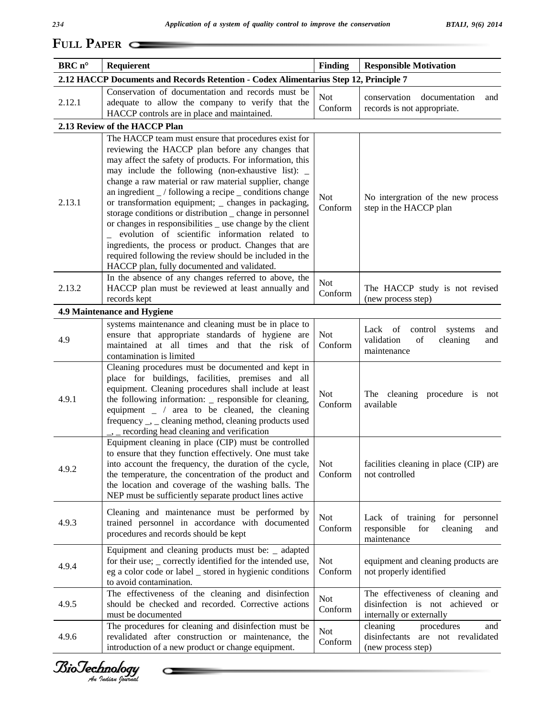| BRC n° |                                                                                                                 |                | <b>Responsible Motivation</b>                                           |  |  |  |
|--------|-----------------------------------------------------------------------------------------------------------------|----------------|-------------------------------------------------------------------------|--|--|--|
|        | Requierent                                                                                                      | <b>Finding</b> |                                                                         |  |  |  |
|        | 2.12 HACCP Documents and Records Retention - Codex Alimentarius Step 12, Principle 7                            |                |                                                                         |  |  |  |
|        | Conservation of documentation and records must be                                                               | <b>Not</b>     | documentation<br>conservation<br>and                                    |  |  |  |
| 2.12.1 | adequate to allow the company to verify that the<br>HACCP controls are in place and maintained.                 | Conform        | records is not appropriate.                                             |  |  |  |
|        | 2.13 Review of the HACCP Plan                                                                                   |                |                                                                         |  |  |  |
|        | The HACCP team must ensure that procedures exist for                                                            |                |                                                                         |  |  |  |
|        | reviewing the HACCP plan before any changes that                                                                |                |                                                                         |  |  |  |
|        | may affect the safety of products. For information, this                                                        |                |                                                                         |  |  |  |
|        | may include the following (non-exhaustive list):                                                                |                |                                                                         |  |  |  |
| 2.13.1 | change a raw material or raw material supplier, change                                                          |                |                                                                         |  |  |  |
|        | an ingredient _/ following a recipe _ conditions change                                                         | <b>Not</b>     | No intergration of the new process                                      |  |  |  |
|        | or transformation equipment; _ changes in packaging,                                                            | Conform        | step in the HACCP plan                                                  |  |  |  |
|        | storage conditions or distribution _ change in personnel                                                        |                |                                                                         |  |  |  |
|        | or changes in responsibilities _ use change by the client                                                       |                |                                                                         |  |  |  |
|        | evolution of scientific information related to<br>ingredients, the process or product. Changes that are         |                |                                                                         |  |  |  |
|        | required following the review should be included in the                                                         |                |                                                                         |  |  |  |
|        | HACCP plan, fully documented and validated.                                                                     |                |                                                                         |  |  |  |
|        | In the absence of any changes referred to above, the                                                            |                |                                                                         |  |  |  |
| 2.13.2 | HACCP plan must be reviewed at least annually and                                                               | Not            | The HACCP study is not revised                                          |  |  |  |
|        | records kept                                                                                                    | Conform        | (new process step)                                                      |  |  |  |
|        | 4.9 Maintenance and Hygiene                                                                                     |                |                                                                         |  |  |  |
|        | systems maintenance and cleaning must be in place to                                                            |                | and                                                                     |  |  |  |
| 4.9    | ensure that appropriate standards of hygiene are                                                                | Not            | Lack of<br>control<br>systems<br>validation<br>of<br>cleaning<br>and    |  |  |  |
|        | maintained at all times and that the risk of                                                                    | Conform        | maintenance                                                             |  |  |  |
|        | contamination is limited                                                                                        |                |                                                                         |  |  |  |
|        | Cleaning procedures must be documented and kept in                                                              |                |                                                                         |  |  |  |
|        | place for buildings, facilities, premises and all                                                               |                |                                                                         |  |  |  |
| 4.9.1  | equipment. Cleaning procedures shall include at least<br>the following information: _ responsible for cleaning, | <b>Not</b>     | The cleaning procedure is not                                           |  |  |  |
|        | equipment $\angle$ / area to be cleaned, the cleaning                                                           | Conform        | available                                                               |  |  |  |
|        | frequency $\_,$ $\_$ cleaning method, cleaning products used                                                    |                |                                                                         |  |  |  |
|        | _, _ recording head cleaning and verification                                                                   |                |                                                                         |  |  |  |
|        | Equipment cleaning in place (CIP) must be controlled                                                            |                |                                                                         |  |  |  |
|        | to ensure that they function effectively. One must take                                                         |                |                                                                         |  |  |  |
| 4.9.2  | into account the frequency, the duration of the cycle,                                                          | <b>Not</b>     | facilities cleaning in place (CIP) are                                  |  |  |  |
|        | the temperature, the concentration of the product and                                                           | Conform        | not controlled                                                          |  |  |  |
|        | the location and coverage of the washing balls. The                                                             |                |                                                                         |  |  |  |
|        | NEP must be sufficiently separate product lines active                                                          |                |                                                                         |  |  |  |
|        | Cleaning and maintenance must be performed by                                                                   | <b>Not</b>     |                                                                         |  |  |  |
| 4.9.3  | trained personnel in accordance with documented                                                                 | Conform        | Lack of training for personnel<br>responsible<br>for<br>cleaning<br>and |  |  |  |
|        | procedures and records should be kept                                                                           |                | maintenance                                                             |  |  |  |
|        | Equipment and cleaning products must be: _ adapted                                                              |                |                                                                         |  |  |  |
| 4.9.4  | for their use; _ correctly identified for the intended use,                                                     | <b>Not</b>     | equipment and cleaning products are                                     |  |  |  |
|        | eg a color code or label _ stored in hygienic conditions                                                        | Conform        | not properly identified                                                 |  |  |  |
|        | to avoid contamination.                                                                                         |                |                                                                         |  |  |  |
|        | The effectiveness of the cleaning and disinfection                                                              | Not            | The effectiveness of cleaning and                                       |  |  |  |
| 4.9.5  | should be checked and recorded. Corrective actions                                                              | Conform        | disinfection is not achieved or                                         |  |  |  |
|        | must be documented                                                                                              |                | internally or externally                                                |  |  |  |
| 4.9.6  | The procedures for cleaning and disinfection must be<br>revalidated after construction or maintenance, the      | Not            | cleaning<br>procedures<br>and<br>disinfectants are not revalidated      |  |  |  |
|        | introduction of a new product or change equipment.                                                              | Conform        | (new process step)                                                      |  |  |  |
|        |                                                                                                                 |                |                                                                         |  |  |  |



 $\subset$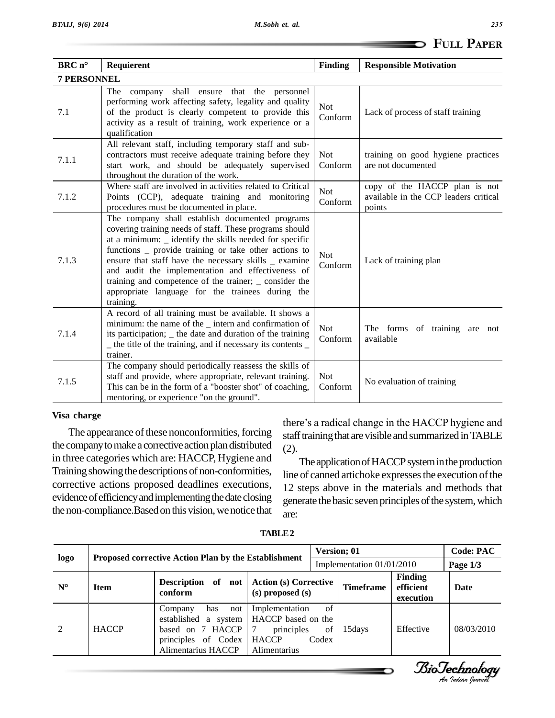| FULL PAPER |
|------------|
|------------|

|                    |                                                                                                                                                                                                                                                                                                                                                                                                                                                                         |                       | <b>FULL PAPER</b>                                                                |
|--------------------|-------------------------------------------------------------------------------------------------------------------------------------------------------------------------------------------------------------------------------------------------------------------------------------------------------------------------------------------------------------------------------------------------------------------------------------------------------------------------|-----------------------|----------------------------------------------------------------------------------|
| $BRCn^{\circ}$     | Requierent                                                                                                                                                                                                                                                                                                                                                                                                                                                              | <b>Finding</b>        | <b>Responsible Motivation</b>                                                    |
| <b>7 PERSONNEL</b> |                                                                                                                                                                                                                                                                                                                                                                                                                                                                         |                       |                                                                                  |
| 7.1                | The company<br>shall ensure that the personnel<br>performing work affecting safety, legality and quality<br>of the product is clearly competent to provide this<br>activity as a result of training, work experience or a<br>qualification                                                                                                                                                                                                                              | <b>Not</b><br>Conform | Lack of process of staff training                                                |
| 7.1.1              | All relevant staff, including temporary staff and sub-<br>contractors must receive adequate training before they<br>start work, and should be adequately supervised<br>throughout the duration of the work.                                                                                                                                                                                                                                                             | <b>Not</b><br>Conform | training on good hygiene practices<br>are not documented                         |
| 7.1.2              | Where staff are involved in activities related to Critical<br>Points (CCP), adequate training and monitoring<br>procedures must be documented in place.                                                                                                                                                                                                                                                                                                                 | <b>Not</b><br>Conform | copy of the HACCP plan is not<br>available in the CCP leaders critical<br>points |
| 7.1.3              | The company shall establish documented programs<br>covering training needs of staff. These programs should<br>at a minimum: _ identify the skills needed for specific<br>functions _ provide training or take other actions to<br>ensure that staff have the necessary skills _ examine<br>and audit the implementation and effectiveness of<br>training and competence of the trainer; _ consider the<br>appropriate language for the trainees during the<br>training. | <b>Not</b><br>Conform | Lack of training plan                                                            |
| 7.1.4              | A record of all training must be available. It shows a<br>minimum: the name of the _ intern and confirmation of<br>its participation; _ the date and duration of the training<br>_ the title of the training, and if necessary its contents _<br>trainer.                                                                                                                                                                                                               | <b>Not</b><br>Conform | The forms of training are not<br>available                                       |
| 7.1.5              | The company should periodically reassess the skills of<br>staff and provide, where appropriate, relevant training.<br>This can be in the form of a "booster shot" of coaching,<br>mentoring, or experience "on the ground".                                                                                                                                                                                                                                             | <b>Not</b><br>Conform | No evaluation of training                                                        |

### **Visa charge**

The appearance of these nonconformities, forcing the company to make a corrective action plan distributed  $(2)$ . in three categories which are: HACCP, Hygiene and Training showing the descriptions of non-conformities, corrective actions proposed deadlines executions, evidence of efficiency and implementing the date closing the non-compliance. Based on this vision, we notice that

there's a radical change in the HACCP hygiene and staff training that are visible and summarized in TABLE

The application of HACCP system in the production line of canned artichoke expresses the execution of the 12 steps above in the materials and methods that generate the basic seven principles of the system, which are:

*<i>BioTechnology*<br>An *Indian Journal* 

| logo        | <b>Proposed corrective Action Plan by the Establishment</b> |                                                                                                                  | <b>Version; 01</b><br>Implementation 01/01/2010                                    |                           |                  | <b>Code: PAC</b><br>Page $1/3$    |            |
|-------------|-------------------------------------------------------------|------------------------------------------------------------------------------------------------------------------|------------------------------------------------------------------------------------|---------------------------|------------------|-----------------------------------|------------|
| $N^{\circ}$ | Description of not<br><b>Item</b><br>conform                |                                                                                                                  | <b>Action (s) Corrective</b><br>(s) proposed (s)                                   |                           | <b>Timeframe</b> | Finding<br>efficient<br>execution | Date       |
| 2           | <b>HACCP</b>                                                | has<br>not<br>Company<br>established a system  <br>based on 7 HACCP<br>principles of Codex<br>Alimentarius HACCP | Implementation<br>HACCP based on the<br>principles<br><b>HACCP</b><br>Alimentarius | $\sigma$ f<br>of<br>Codex | 15 days          | Effective                         | 08/03/2010 |

**TABLE2**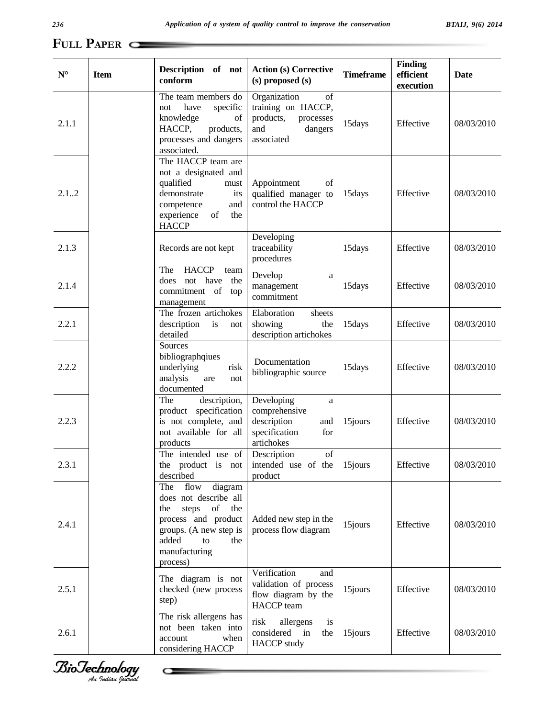| $N^{\circ}$ | <b>Item</b> | Description of not<br>conform                                                                                                                                           | <b>Action (s) Corrective</b><br>(s) proposed (s)                                                   | <b>Timeframe</b> | <b>Finding</b><br>efficient<br>execution | <b>Date</b> |
|-------------|-------------|-------------------------------------------------------------------------------------------------------------------------------------------------------------------------|----------------------------------------------------------------------------------------------------|------------------|------------------------------------------|-------------|
| 2.1.1       |             | The team members do<br>have<br>specific<br>not<br>knowledge<br>of<br>HACCP,<br>products,<br>processes and dangers<br>associated.                                        | Organization<br>of<br>training on HACCP,<br>products,<br>processes<br>and<br>dangers<br>associated | 15days           | Effective                                | 08/03/2010  |
| 2.1.2       |             | The HACCP team are<br>not a designated and<br>qualified<br>${\rm must}$<br>demonstrate<br>its<br>and<br>competence<br>experience<br>of<br>the<br><b>HACCP</b>           | Appointment<br>of<br>qualified manager to<br>control the HACCP                                     | 15days           | Effective                                | 08/03/2010  |
| 2.1.3       |             | Records are not kept                                                                                                                                                    | Developing<br>traceability<br>procedures                                                           | 15days           | Effective                                | 08/03/2010  |
| 2.1.4       |             | <b>HACCP</b><br>The<br>team<br>not have the<br>does<br>commitment of top<br>management                                                                                  | Develop<br>a<br>management<br>commitment                                                           | 15days           | Effective                                | 08/03/2010  |
| 2.2.1       |             | The frozen artichokes<br>description<br>is<br>not<br>detailed                                                                                                           | Elaboration<br>sheets<br>showing<br>the<br>description artichokes                                  | 15days           | Effective                                | 08/03/2010  |
| 2.2.2       |             | Sources<br>bibliographqiues<br>underlying<br>risk<br>analysis<br>are<br>not<br>documented                                                                               | Documentation<br>bibliographic source                                                              | 15days           | Effective                                | 08/03/2010  |
| 2.2.3       |             | The<br>description,<br>product specification<br>is not complete, and<br>not available for all<br>products                                                               | Developing<br>a<br>comprehensive<br>description<br>and<br>specification<br>for<br>artichokes       | 15jours          | Effective                                | 08/03/2010  |
| 2.3.1       |             | The intended use of<br>the product is not<br>described                                                                                                                  | Description<br>of<br>intended use of the<br>product                                                | 15jours          | Effective                                | 08/03/2010  |
| 2.4.1       |             | diagram<br>The flow<br>does not describe all<br>steps of the<br>the<br>process and product<br>groups. (A new step is<br>added<br>to<br>the<br>manufacturing<br>process) | Added new step in the<br>process flow diagram                                                      | 15jours          | Effective                                | 08/03/2010  |
| 2.5.1       |             | The diagram is not<br>checked (new process<br>step)                                                                                                                     | Verification<br>and<br>validation of process<br>flow diagram by the<br>HACCP team                  | 15jours          | Effective                                | 08/03/2010  |
| 2.6.1       |             | The risk allergens has<br>not been taken into<br>account<br>when<br>considering HACCP                                                                                   | risk<br>allergens<br>is<br>considered in<br>the<br><b>HACCP</b> study                              | 15jours          | Effective                                | 08/03/2010  |



 $\subset$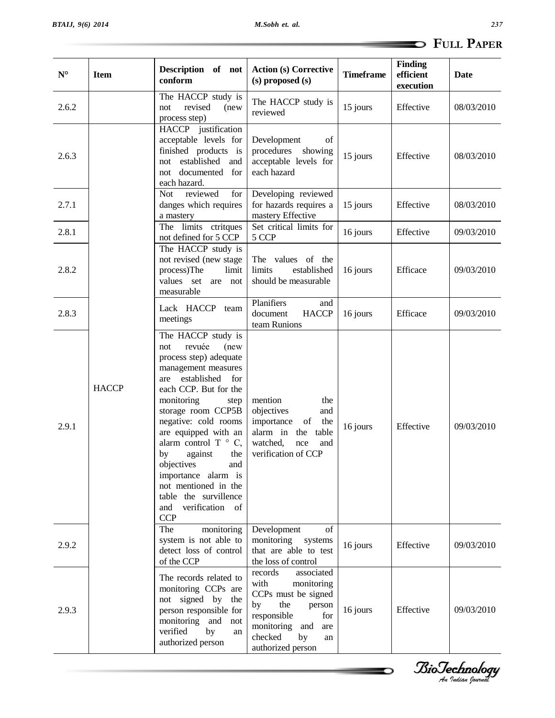| 237                      |  |
|--------------------------|--|
| $\Rightarrow$ Full Paper |  |

| $\mathbf{N}^{\mathrm{o}}$ | <b>Item</b>  | Description of not<br>conform                                                                                                                                                                                                                                                                                                                                                                                               | <b>Action (s) Corrective</b><br>$(s)$ proposed $(s)$                                                                                                                                 | <b>Timeframe</b> | <b>Finding</b><br>efficient<br>execution | <b>Date</b> |
|---------------------------|--------------|-----------------------------------------------------------------------------------------------------------------------------------------------------------------------------------------------------------------------------------------------------------------------------------------------------------------------------------------------------------------------------------------------------------------------------|--------------------------------------------------------------------------------------------------------------------------------------------------------------------------------------|------------------|------------------------------------------|-------------|
| 2.6.2                     |              | The HACCP study is<br>revised<br>(new<br>not<br>process step)                                                                                                                                                                                                                                                                                                                                                               | The HACCP study is<br>reviewed                                                                                                                                                       | 15 jours         | Effective                                | 08/03/2010  |
| 2.6.3                     |              | HACCP justification<br>acceptable levels for<br>finished products is<br>not established<br>and<br>not documented for<br>each hazard.                                                                                                                                                                                                                                                                                        | Development<br>of<br>procedures showing<br>acceptable levels for<br>each hazard                                                                                                      | 15 jours         | Effective                                | 08/03/2010  |
| 2.7.1                     |              | reviewed<br>for<br>Not<br>danges which requires<br>a mastery                                                                                                                                                                                                                                                                                                                                                                | Developing reviewed<br>for hazards requires a<br>mastery Effective                                                                                                                   | 15 jours         | Effective                                | 08/03/2010  |
| 2.8.1                     |              | The limits ctritques<br>not defined for 5 CCP                                                                                                                                                                                                                                                                                                                                                                               | Set critical limits for<br>5 CCP                                                                                                                                                     | 16 jours         | Effective                                | 09/03/2010  |
| 2.8.2                     |              | The HACCP study is<br>not revised (new stage<br>process)The<br>limit<br>values set are not<br>measurable                                                                                                                                                                                                                                                                                                                    | The values of the<br>limits<br>established<br>should be measurable                                                                                                                   | 16 jours         | Efficace                                 | 09/03/2010  |
| 2.8.3                     |              | Lack HACCP team<br>meetings                                                                                                                                                                                                                                                                                                                                                                                                 | Planifiers<br>and<br>document<br><b>HACCP</b><br>team Runions                                                                                                                        | 16 jours         | Efficace                                 | 09/03/2010  |
| 2.9.1                     | <b>HACCP</b> | The HACCP study is<br>revuée<br>(new<br>not<br>process step) adequate<br>management measures<br>are established for<br>each CCP. But for the<br>monitoring<br>step<br>storage room CCP5B<br>negative: cold rooms<br>are equipped with an<br>alarm control $T \circ C$ ,<br>by against the<br>objectives<br>and<br>importance alarm is<br>not mentioned in the<br>table the survillence<br>and verification of<br><b>CCP</b> | mention<br>the<br>objectives<br>and<br>importance<br><sub>of</sub><br>the<br>alarm in the<br>table<br>watched,<br>nce<br>and<br>verification of CCP                                  | 16 jours         | Effective                                | 09/03/2010  |
| 2.9.2                     |              | The<br>monitoring<br>system is not able to<br>detect loss of control<br>of the CCP                                                                                                                                                                                                                                                                                                                                          | Development<br>of<br>monitoring<br>systems<br>that are able to test<br>the loss of control                                                                                           | 16 jours         | Effective                                | 09/03/2010  |
| 2.9.3                     |              | The records related to<br>monitoring CCPs are<br>not signed by the<br>person responsible for<br>monitoring and not<br>verified<br>by<br>an<br>authorized person                                                                                                                                                                                                                                                             | records<br>associated<br>with<br>monitoring<br>CCPs must be signed<br>the<br>by<br>person<br>responsible<br>for<br>monitoring and<br>are<br>checked<br>by<br>an<br>authorized person | 16 jours         | Effective                                | 09/03/2010  |

*<i>BioTechnology*<br>Au *Indian Journal* 

--

∍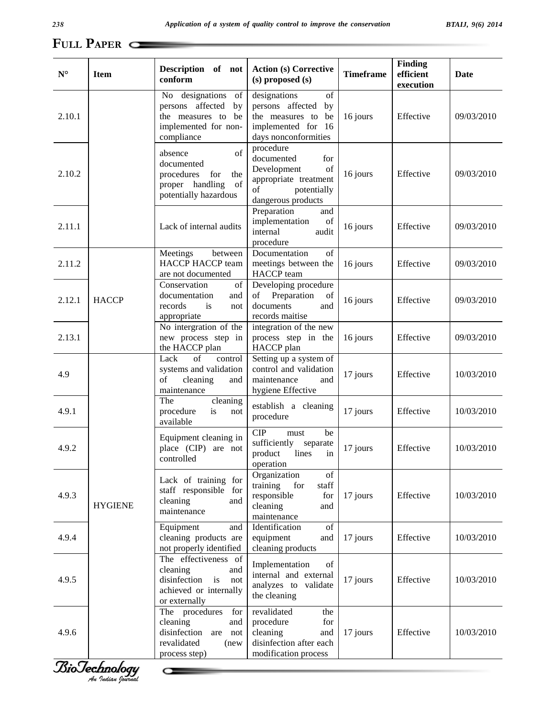| $N^{\circ}$ | <b>Item</b>    | Description of not<br>conform                                                                                   | <b>Action (s) Corrective</b><br>(s) proposed (s)                                                                        | <b>Timeframe</b> | <b>Finding</b><br>efficient<br>execution | Date       |
|-------------|----------------|-----------------------------------------------------------------------------------------------------------------|-------------------------------------------------------------------------------------------------------------------------|------------------|------------------------------------------|------------|
| 2.10.1      |                | No designations<br>of<br>persons affected<br>by<br>the measures to<br>be<br>implemented for non-<br>compliance  | designations<br>of<br>persons affected by<br>the measures to<br>be<br>implemented for 16<br>days nonconformities        | 16 jours         | Effective                                | 09/03/2010 |
| 2.10.2      |                | of<br>absence<br>documented<br>procedures<br>for<br>the<br>of<br>proper handling<br>potentially hazardous       | procedure<br>documented<br>for<br>Development<br>of<br>appropriate treatment<br>potentially<br>of<br>dangerous products | 16 jours         | Effective                                | 09/03/2010 |
| 2.11.1      |                | Lack of internal audits                                                                                         | Preparation<br>and<br>implementation<br>of<br>internal<br>audit<br>procedure                                            | 16 jours         | Effective                                | 09/03/2010 |
| 2.11.2      |                | between<br>Meetings<br><b>HACCP HACCP team</b><br>are not documented                                            | Documentation<br>of<br>meetings between the<br>HACCP team                                                               | 16 jours         | Effective                                | 09/03/2010 |
| 2.12.1      | <b>HACCP</b>   | Conservation<br>of<br>documentation<br>and<br>records<br>is<br>not<br>appropriate                               | Developing procedure<br>Preparation<br>of<br>of<br>documents<br>and<br>records maitise                                  | 16 jours         | Effective                                | 09/03/2010 |
| 2.13.1      |                | No intergration of the<br>new process step in<br>the HACCP plan                                                 | integration of the new<br>process step in the<br>HACCP plan                                                             | 16 jours         | Effective                                | 09/03/2010 |
| 4.9         |                | Lack<br>of<br>control<br>systems and validation<br>of<br>cleaning<br>and<br>maintenance                         | Setting up a system of<br>control and validation<br>maintenance<br>and<br>hygiene Effective                             | 17 jours         | Effective                                | 10/03/2010 |
| 4.9.1       |                | The<br>cleaning<br>procedure<br>is<br>not<br>available                                                          | establish a cleaning<br>procedure                                                                                       | 17 jours         | Effective                                | 10/03/2010 |
| 4.9.2       |                | Equipment cleaning in<br>place (CIP) are not<br>controlled                                                      | CIP<br>be<br>must<br>sufficiently separate<br>product lines in<br>operation                                             | 17 jours         | Effective                                | 10/03/2010 |
| 4.9.3       | <b>HYGIENE</b> | Lack of training for<br>staff responsible for<br>cleaning<br>and<br>maintenance                                 | Organization<br>of<br>training<br>for<br>staff<br>responsible<br>for<br>cleaning<br>and<br>maintenance                  | 17 jours         | Effective                                | 10/03/2010 |
| 4.9.4       |                | Equipment<br>and<br>cleaning products are<br>not properly identified                                            | Identification<br>of<br>equipment<br>and<br>cleaning products                                                           | 17 jours         | Effective                                | 10/03/2010 |
| 4.9.5       |                | The effectiveness of<br>cleaning<br>and<br>disinfection<br>is<br>not<br>achieved or internally<br>or externally | Implementation<br>of<br>internal and external<br>analyzes to validate<br>the cleaning                                   | 17 jours         | Effective                                | 10/03/2010 |
| 4.9.6       |                | The procedures<br>for<br>cleaning<br>and<br>disinfection are not<br>revalidated<br>(new<br>process step)        | revalidated<br>the<br>procedure<br>for<br>cleaning<br>and<br>disinfection after each<br>modification process            | 17 jours         | Effective                                | 10/03/2010 |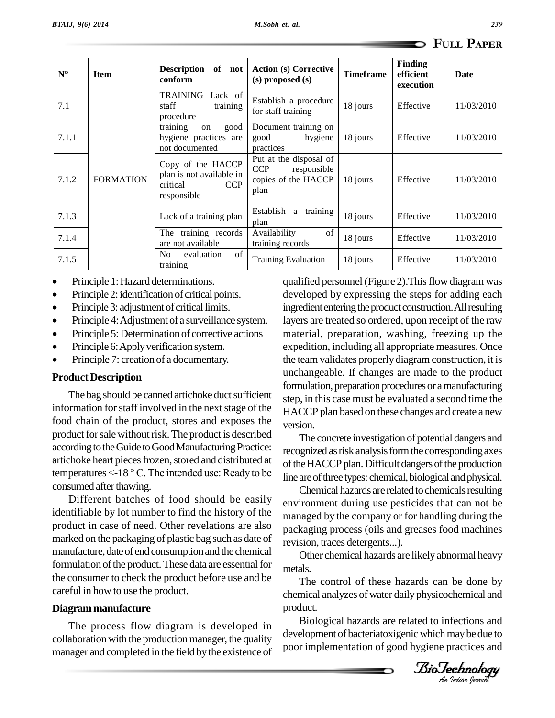| $N^{\circ}$ | <b>Item</b>      | <b>Description</b><br>of not<br>conform                                                | <b>Action (s) Corrective</b><br>$(s)$ proposed $(s)$                               | <b>Timeframe</b> | <b>Finding</b><br>efficient<br>execution | Date       |
|-------------|------------------|----------------------------------------------------------------------------------------|------------------------------------------------------------------------------------|------------------|------------------------------------------|------------|
| 7.1         | <b>FORMATION</b> | TRAINING<br>Lack of<br>staff<br>training<br>procedure                                  | Establish a procedure<br>for staff training                                        | 18 jours         | Effective                                | 11/03/2010 |
| 7.1.1       |                  | training<br>good<br>on<br>hygiene practices are<br>not documented                      | Document training on<br>hygiene<br>good<br>practices                               | 18 jours         | Effective                                | 11/03/2010 |
| 7.1.2       |                  | Copy of the HACCP<br>plan is not available in<br>critical<br><b>CCP</b><br>responsible | Put at the disposal of<br><b>CCP</b><br>responsible<br>copies of the HACCP<br>plan | 18 jours         | Effective                                | 11/03/2010 |
| 7.1.3       |                  | Lack of a training plan                                                                | training<br>Establish<br>a<br>plan                                                 | 18 jours         | Effective                                | 11/03/2010 |
| 7.1.4       |                  | The training records<br>are not available                                              | of<br>Availability<br>training records                                             | 18 jours         | Effective                                | 11/03/2010 |
| 7.1.5       |                  | of<br>No<br>evaluation<br>training                                                     | <b>Training Evaluation</b>                                                         | 18 jours         | Effective                                | 11/03/2010 |

- Principle 1: Hazard determinations.
- Principle 1: Hazard determinations.<br>• Principle 2: identification of critical points. • Principle 2: identification of critical points.<br>• Principle 3: adjustment of critical limits.
- 
- Principle 3: adjustment of critical limits.<br>• Principle 4: Adjustment of a surveillance system. • Principle 4: Adjustment of a surveillance system. lay<br>• Principle 5: Determination of corrective actions ma
- Principle 5: Determination of corrective actions<br>• Principle 6: Apply verification system.
- 
- Principle 7: creation of a documentary.

### **Product Description**

The bag should be canned artichoke duct sufficient information for staff involved in the next stage of the food chain of the product, stores and exposes the product for sale without risk. The product is described according to the Guide to Good Manufacturing Practice: artichoke heart pieces frozen, stored and distributed at temperatures  $<$ -18 °C. The intended use: Ready to be consumed after thawing.

Different batches of food should be easily identifiable by lot number to find the history of the product in case of need. Other revelations are also marked on the packaging of plastic bag such as date of manufacture, date of end consumption and the chemical formulation of the product. These data are essential for the consumer to check the product before use and be careful in how to use the product.

### **Diagrammanufacture**

The process flow diagram is developed in collaboration with the production manager, the quality manager and completed in the field by the existence of

qualified personnel (Figure 2). This flow diagram was developed by expressing the steps for adding each ingredient entering the product construction. All resulting layers are treated so ordered, upon receipt of the raw material, preparation, washing, freezing up the expedition, including all appropriate measures. Once the teamvalidates properlydiagram construction, it is unchangeable. If changes are made to the product formulation, preparation procedures or a manufacturing step, in this case must be evaluated a second time the HACCP plan based on these changes and create a new version.

The concrete investigation of potential dangers and recognized as risk analysis form the corresponding axes of the HACCP plan. Difficult dangers of the production line are of three types: chemical, biological and physical.

Chemical hazards are related to chemicals resulting environment during use pesticides that can not be managed by the company or for handling during the packaging process (oils and greases food machines revision, traces detergents...).

 $B_{\text{eff}}$  abiotically  $\mathcal{L}_{\text{eff}}$  $B_{\text{eff}}$  abiotic matrix  $\mathcal{L}$ Other chemical hazards are likelyabnormal heavy metals.

The control of these hazards can be done by chemical analyzes of water daily physicochemical and product.

Biological hazards are related to infections and development of bacteriatoxigenic which may be due to poor implementation of good hygiene practices and

*Indian Journal*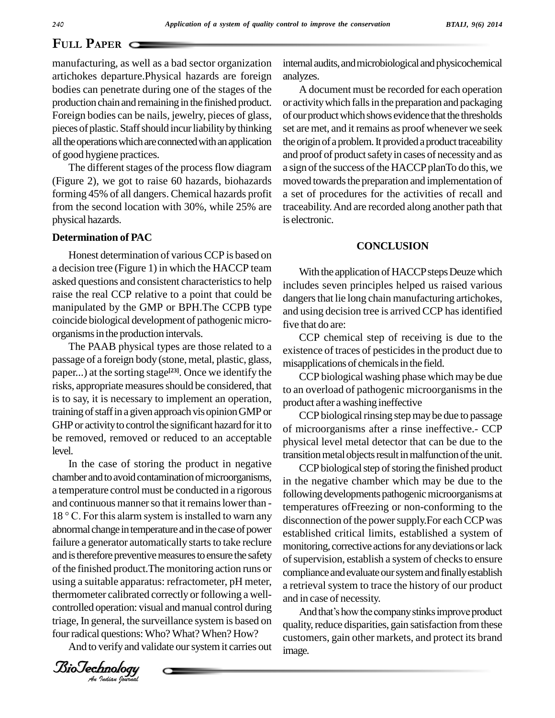### **P**APER **Q**

manufacturing, as well as a bad sector organization artichokes departure.Physical hazards are foreign bodies can penetrate during one of the stages of the production chain and remaining in the finished product. Foreign bodies can be nails, jewelry, pieces of glass, pieces of plastic. Staff should incur liability by thinking all the operations which are connected with an application of good hygiene practices.

The different stages of the process flow diagram (Figure 2), we got to raise 60 hazards, biohazards forming 45% of all dangers. Chemical hazards profit from the second location with 30%, while 25% are physical hazards.

### **Determination of PAC**

Honest determination of various CCP is based on a decision tree (Figure 1) in which the HACCP team asked questions and consistent characteristics to help raise the real CCP relative to a point that could be manipulated by the GMP or BPH.The CCPB type coincide biological development of pathogenic microorganisms in the production intervals.

The PAAB physical types are those related to a passage of a foreign body (stone, metal, plastic, glass, paper...) at the sorting stage<sup>[23]</sup>. Once we identify the  $\overline{C}$ risks, appropriate measures should be considered, that is to say, it is necessary to implement an operation, training of staff in a given approach vis opinion GMP or GHP or activity to control the significant hazard for it to be removed, removed or reduced to an acceptable level.<br>In the case of storing the product in negative

 $B = 5$  and is discrete proven the measures to ensure the state, or  $B = 5$  of  $S = 5$ *An*controlled operation: visual andmanual control during chamber and to avoid contamination of microorganisms, a temperature control must be conducted in a rigorous and continuous manner so that it remains lower than - $18 \degree$  C. For this alarm system is installed to warn any abnormal change in temperature and in the case of power failure a generator automatically starts to take reclure and is therefore preventive measures to ensure the safety using a suitable apparatus: refractometer, pH meter, thermometer calibrated correctly or following a wellcontrolled operation: visual and manual control during<br>triage, In general, the surveillance system is based on anality reduce disparities gain satisfaction from these four radical questions: Who? What? When? How?

And to verify and validate our system it carries out

internal audits, and microbiological and physicochemical analyzes.

A document must be recorded for each operation or activity which falls in the preparation and packaging of our product which shows evidence that the thresholds set are met, and it remains as proof whenever we seek the origin of a problem. It provided a product traceability and proof of product safety in cases of necessity and as a sign of the success of the HACCP planTo do this, we moved towards the preparation and implementation of a set of procedures for the activities of recall and traceability.And are recorded along another path that is electronic.

### **CONCLUSION**

With the application of HACCP steps Deuze which includes seven principles helped us raised various dangers that lie long chain manufacturing artichokes, and using decision tree is arrived CCP has identified five that do are:

CCP chemical step of receiving is due to the existence of traces of pesticides in the product due to misapplications of chemicals in the field.

CCP biological washing phase which maybe due to an overload of pathogenic microorganisms in the product after awashing ineffective

CCP biological rinsing step may be due to passage of microorganisms after a rinse ineffective.- CCP physical level metal detector that can be due to the transition metal objects result in malfunction of the unit.

CCP biological step of storing the finished product in the negative chamber which may be due to the following developments pathogenic microorganisms at temperatures ofFreezing or non-conforming to the disconnection of the power supply.For each CCP was established critical limits, established a system of monitoring, corrective actions for any deviations or lack of supervision, establish a system of checks to ensure compliance and evaluate our system and finally establish a retrieval system to trace the history of our product<br>and in case of necessity.<br>And that's how the company stinks improve product and in case of necessity.

quality, reduce disparities, gain satisfaction from these customers, gain other markets, and protect its brand image.